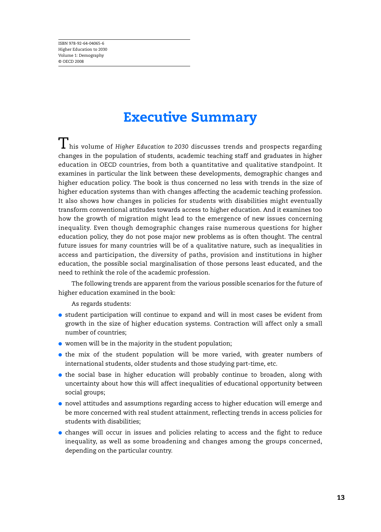ISBN 978-92-64-04065-6 Higher Education to 2030 Volume 1: Demography © OECD 2008

## **Executive Summary**

This volume of *Higher Education to 2030* discusses trends and prospects regarding changes in the population of students, academic teaching staff and graduates in higher education in OECD countries, from both a quantitative and qualitative standpoint. It examines in particular the link between these developments, demographic changes and higher education policy. The book is thus concerned no less with trends in the size of higher education systems than with changes affecting the academic teaching profession. It also shows how changes in policies for students with disabilities might eventually transform conventional attitudes towards access to higher education. And it examines too how the growth of migration might lead to the emergence of new issues concerning inequality. Even though demographic changes raise numerous questions for higher education policy, they do not pose major new problems as is often thought. The central future issues for many countries will be of a qualitative nature, such as inequalities in access and participation, the diversity of paths, provision and institutions in higher education, the possible social marginalisation of those persons least educated, and the need to rethink the role of the academic profession.

The following trends are apparent from the various possible scenarios for the future of higher education examined in the book:

As regards students:

- student participation will continue to expand and will in most cases be evident from growth in the size of higher education systems. Contraction will affect only a small number of countries;
- women will be in the majority in the student population;
- the mix of the student population will be more varied, with greater numbers of international students, older students and those studying part-time, etc.
- the social base in higher education will probably continue to broaden, along with uncertainty about how this will affect inequalities of educational opportunity between social groups;
- novel attitudes and assumptions regarding access to higher education will emerge and be more concerned with real student attainment, reflecting trends in access policies for students with disabilities;
- changes will occur in issues and policies relating to access and the fight to reduce inequality, as well as some broadening and changes among the groups concerned, depending on the particular country.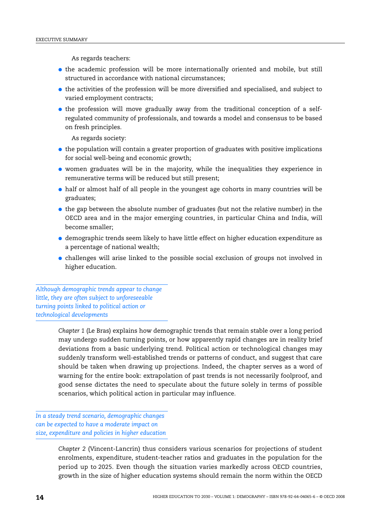As regards teachers:

- the academic profession will be more internationally oriented and mobile, but still structured in accordance with national circumstances;
- the activities of the profession will be more diversified and specialised, and subject to varied employment contracts;
- the profession will move gradually away from the traditional conception of a selfregulated community of professionals, and towards a model and consensus to be based on fresh principles.

As regards society:

- the population will contain a greater proportion of graduates with positive implications for social well-being and economic growth;
- women graduates will be in the majority, while the inequalities they experience in remunerative terms will be reduced but still present;
- half or almost half of all people in the youngest age cohorts in many countries will be graduates;
- the gap between the absolute number of graduates (but not the relative number) in the OECD area and in the major emerging countries, in particular China and India, will become smaller;
- demographic trends seem likely to have little effect on higher education expenditure as a percentage of national wealth;
- challenges will arise linked to the possible social exclusion of groups not involved in higher education.

*Although demographic trends appear to change little, they are often subject to unforeseeable turning points linked to political action or technological developments*

> *Chapter 1* (Le Bras) explains how demographic trends that remain stable over a long period may undergo sudden turning points, or how apparently rapid changes are in reality brief deviations from a basic underlying trend. Political action or technological changes may suddenly transform well-established trends or patterns of conduct, and suggest that care should be taken when drawing up projections. Indeed, the chapter serves as a word of warning for the entire book: extrapolation of past trends is not necessarily foolproof, and good sense dictates the need to speculate about the future solely in terms of possible scenarios, which political action in particular may influence.

*In a steady trend scenario, demographic changes can be expected to have a moderate impact on size, expenditure and policies in higher education*

> *Chapter 2* (Vincent-Lancrin) thus considers various scenarios for projections of student enrolments, expenditure, student-teacher ratios and graduates in the population for the period up to 2025. Even though the situation varies markedly across OECD countries, growth in the size of higher education systems should remain the norm within the OECD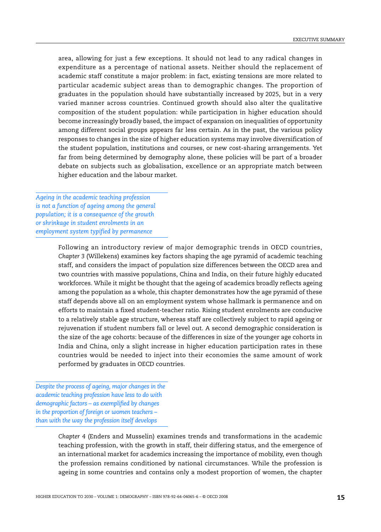area, allowing for just a few exceptions. It should not lead to any radical changes in expenditure as a percentage of national assets. Neither should the replacement of academic staff constitute a major problem: in fact, existing tensions are more related to particular academic subject areas than to demographic changes. The proportion of graduates in the population should have substantially increased by 2025, but in a very varied manner across countries. Continued growth should also alter the qualitative composition of the student population: while participation in higher education should become increasingly broadly based, the impact of expansion on inequalities of opportunity among different social groups appears far less certain. As in the past, the various policy responses to changes in the size of higher education systems may involve diversification of the student population, institutions and courses, or new cost-sharing arrangements. Yet far from being determined by demography alone, these policies will be part of a broader debate on subjects such as globalisation, excellence or an appropriate match between higher education and the labour market.

*Ageing in the academic teaching profession is not a function of ageing among the general population; it is a consequence of the growth or shrinkage in student enrolments in an employment system typified by permanence*

> Following an introductory review of major demographic trends in OECD countries, *Chapter 3* (Willekens) examines key factors shaping the age pyramid of academic teaching staff, and considers the impact of population size differences between the OECD area and two countries with massive populations, China and India, on their future highly educated workforces. While it might be thought that the ageing of academics broadly reflects ageing among the population as a whole, this chapter demonstrates how the age pyramid of these staff depends above all on an employment system whose hallmark is permanence and on efforts to maintain a fixed student-teacher ratio. Rising student enrolments are conducive to a relatively stable age structure, whereas staff are collectively subject to rapid ageing or rejuvenation if student numbers fall or level out. A second demographic consideration is the size of the age cohorts: because of the differences in size of the younger age cohorts in India and China, only a slight increase in higher education participation rates in these countries would be needed to inject into their economies the same amount of work performed by graduates in OECD countries.

*Despite the process of ageing, major changes in the academic teaching profession have less to do with demographic factors – as exemplified by changes in the proportion of foreign or women teachers – than with the way the profession itself develops*

> *Chapter 4* (Enders and Musselin) examines trends and transformations in the academic teaching profession, with the growth in staff, their differing status, and the emergence of an international market for academics increasing the importance of mobility, even though the profession remains conditioned by national circumstances. While the profession is ageing in some countries and contains only a modest proportion of women, the chapter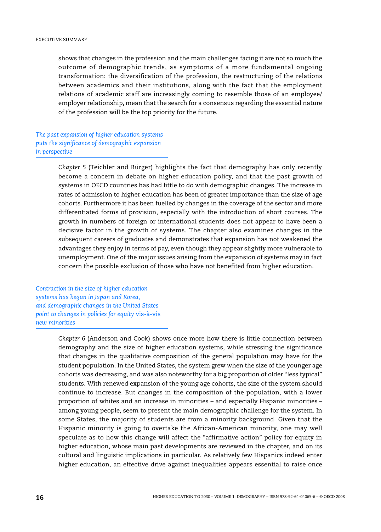shows that changes in the profession and the main challenges facing it are not so much the outcome of demographic trends, as symptoms of a more fundamental ongoing transformation: the diversification of the profession, the restructuring of the relations between academics and their institutions, along with the fact that the employment relations of academic staff are increasingly coming to resemble those of an employee/ employer relationship, mean that the search for a consensus regarding the essential nature of the profession will be the top priority for the future.

*The past expansion of higher education systems puts the significance of demographic expansion in perspective*

> *Chapter 5* (Teichler and Bürger) highlights the fact that demography has only recently become a concern in debate on higher education policy, and that the past growth of systems in OECD countries has had little to do with demographic changes. The increase in rates of admission to higher education has been of greater importance than the size of age cohorts. Furthermore it has been fuelled by changes in the coverage of the sector and more differentiated forms of provision, especially with the introduction of short courses. The growth in numbers of foreign or international students does not appear to have been a decisive factor in the growth of systems. The chapter also examines changes in the subsequent careers of graduates and demonstrates that expansion has not weakened the advantages they enjoy in terms of pay, even though they appear slightly more vulnerable to unemployment. One of the major issues arising from the expansion of systems may in fact concern the possible exclusion of those who have not benefited from higher education.

*Contraction in the size of higher education systems has begun in Japan and Korea, and demographic changes in the United States point to changes in policies for equity* vis-à-vis *new minorities*

> *Chapter 6* (Anderson and Cook) shows once more how there is little connection between demography and the size of higher education systems, while stressing the significance that changes in the qualitative composition of the general population may have for the student population. In the United States, the system grew when the size of the younger age cohorts was decreasing, and was also noteworthy for a big proportion of older "less typical" students. With renewed expansion of the young age cohorts, the size of the system should continue to increase. But changes in the composition of the population, with a lower proportion of whites and an increase in minorities – and especially Hispanic minorities – among young people, seem to present the main demographic challenge for the system. In some States, the majority of students are from a minority background. Given that the Hispanic minority is going to overtake the African-American minority, one may well speculate as to how this change will affect the "affirmative action" policy for equity in higher education, whose main past developments are reviewed in the chapter, and on its cultural and linguistic implications in particular. As relatively few Hispanics indeed enter higher education, an effective drive against inequalities appears essential to raise once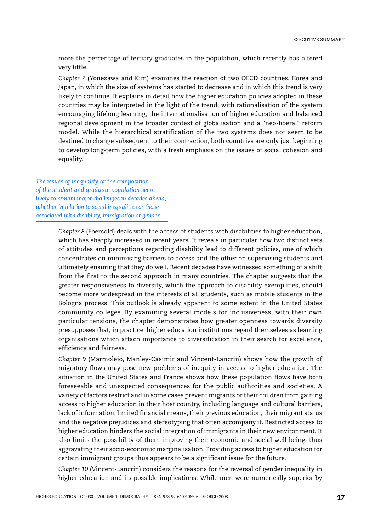more the percentage of tertiary graduates in the population, which recently has altered very little.

*Chapter 7* (Yonezawa and Kim) examines the reaction of two OECD countries, Korea and Japan, in which the size of systems has started to decrease and in which this trend is very likely to continue. It explains in detail how the higher education policies adopted in these countries may be interpreted in the light of the trend, with rationalisation of the system encouraging lifelong learning, the internationalisation of higher education and balanced regional development in the broader context of globalisation and a "neo-liberal" reform model. While the hierarchical stratification of the two systems does not seem to be destined to change subsequent to their contraction, both countries are only just beginning to develop long-term policies, with a fresh emphasis on the issues of social cohesion and equality.

*The issues of inequality or the composition of the student and graduate population seem likely to remain major challenges in decades ahead, whether in relation to social inequalities or those associated with disability, immigration or gender*

> *Chapter 8* (Ebersold) deals with the access of students with disabilities to higher education, which has sharply increased in recent years. It reveals in particular how two distinct sets of attitudes and perceptions regarding disability lead to different policies, one of which concentrates on minimising barriers to access and the other on supervising students and ultimately ensuring that they do well. Recent decades have witnessed something of a shift from the first to the second approach in many countries. The chapter suggests that the greater responsiveness to diversity, which the approach to disability exemplifies, should become more widespread in the interests of all students, such as mobile students in the Bologna process. This outlook is already apparent to some extent in the United States community colleges*.* By examining several models for inclusiveness, with their own particular tensions, the chapter demonstrates how greater openness towards diversity presupposes that, in practice, higher education institutions regard themselves as learning organisations which attach importance to diversification in their search for excellence, efficiency and fairness.

> *Chapter 9* (Marmolejo, Manley-Casimir and Vincent-Lancrin) shows how the growth of migratory flows may pose new problems of inequity in access to higher education. The situation in the United States and France shows how these population flows have both foreseeable and unexpected consequences for the public authorities and societies. A variety of factors restrict and in some cases prevent migrants or their children from gaining access to higher education in their host country, including language and cultural barriers, lack of information, limited financial means, their previous education, their migrant status and the negative prejudices and stereotyping that often accompany it. Restricted access to higher education hinders the social integration of immigrants in their new environment. It also limits the possibility of them improving their economic and social well-being, thus aggravating their socio-economic marginalisation. Providing access to higher education for certain immigrant groups thus appears to be a significant issue for the future.

> *Chapter 10* (Vincent-Lancrin) considers the reasons for the reversal of gender inequality in higher education and its possible implications. While men were numerically superior by